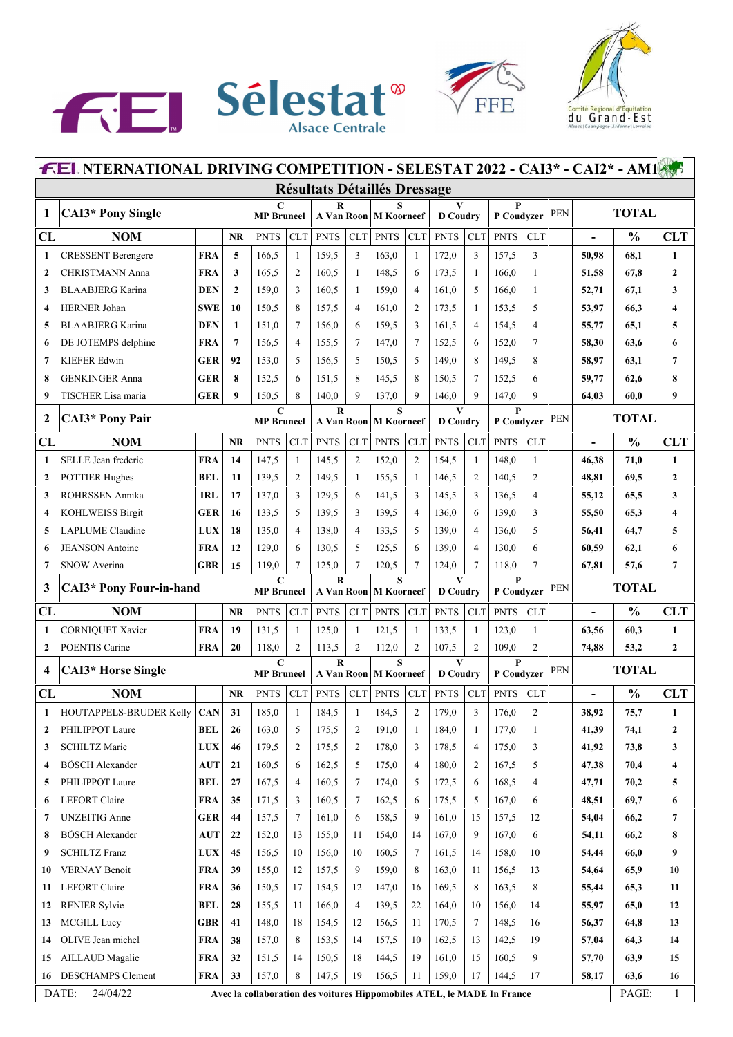





| <b>FEL NTERNATIONAL DRIVING COMPETITION - SELESTAT 2022 - CAI3* - CAI2* - AM1855</b> |                                      |            |              |                                  |                |             |                |                              |                |                                 |                |                 |                |            |                          |               |                |
|--------------------------------------------------------------------------------------|--------------------------------------|------------|--------------|----------------------------------|----------------|-------------|----------------|------------------------------|----------------|---------------------------------|----------------|-----------------|----------------|------------|--------------------------|---------------|----------------|
|                                                                                      | <b>Résultats Détaillés Dressage</b>  |            |              |                                  |                |             |                |                              |                |                                 |                |                 |                |            |                          |               |                |
| 1                                                                                    | <b>CAI3*</b> Pony Single             |            |              | $\mathbf C$<br><b>MP</b> Bruneel |                | R           |                | s<br>A Van Roon M Koorneef   |                | $\mathbf{V}$<br><b>D</b> Coudry |                | P<br>P Coudvzer |                | PEN        |                          | <b>TOTAL</b>  |                |
| CL                                                                                   | <b>NOM</b>                           |            | <b>NR</b>    | <b>PNTS</b>                      | <b>CLT</b>     | <b>PNTS</b> | <b>CLT</b>     | <b>PNTS</b>                  | <b>CLT</b>     | <b>PNTS</b>                     | <b>CLT</b>     | <b>PNTS</b>     | <b>CLT</b>     |            | $\blacksquare$           | $\frac{0}{0}$ | <b>CLT</b>     |
| $\mathbf{1}$                                                                         | <b>CRESSENT Berengere</b>            | <b>FRA</b> | 5            | 166,5                            | 1              | 159,5       | 3              | 163,0                        | $\mathbf{1}$   | 172,0                           | 3              | 157,5           | 3              |            | 50,98                    | 68,1          | 1              |
| $\mathbf{2}$                                                                         | <b>CHRISTMANN</b> Anna               | <b>FRA</b> | 3            | 165,5                            | $\overline{2}$ | 160,5       | 1              | 148,5                        | 6              | 173,5                           | 1              | 166,0           | 1              |            | 51,58                    | 67,8          | $\overline{2}$ |
| 3                                                                                    | <b>BLAABJERG Karina</b>              | <b>DEN</b> | $\mathbf{2}$ | 159,0                            | 3              | 160,5       | $\mathbf{1}$   | 159,0                        | $\overline{4}$ | 161,0                           | 5              | 166,0           | 1              |            | 52,71                    | 67,1          | 3              |
| 4                                                                                    | <b>HERNER Johan</b>                  | <b>SWE</b> | 10           | 150.5                            | 8              | 157,5       | $\overline{4}$ | 161,0                        | 2              | 173,5                           | 1              | 153,5           | 5              |            | 53,97                    | 66,3          | 4              |
| 5                                                                                    | <b>BLAABJERG Karina</b>              | <b>DEN</b> | $\mathbf{1}$ | 151,0                            | 7              | 156,0       | 6              | 159,5                        | 3              | 161.5                           | $\overline{4}$ | 154,5           | $\overline{4}$ |            | 55,77                    | 65,1          | 5              |
| 6                                                                                    | DE JOTEMPS delphine                  | <b>FRA</b> | 7            | 156,5                            | $\overline{4}$ | 155,5       | 7              | 147,0                        | $\tau$         | 152,5                           | 6              | 152,0           | 7              |            | 58,30                    | 63,6          | 6              |
| 7                                                                                    | <b>KIEFER Edwin</b>                  | <b>GER</b> | 92           | 153,0                            | 5              | 156,5       | 5              | 150,5                        | 5              | 149,0                           | 8              | 149,5           | 8              |            | 58,97                    | 63,1          | 7              |
| 8                                                                                    | <b>GENKINGER Anna</b>                | <b>GER</b> | 8            | 152,5                            | 6              | 151,5       | 8              | 145,5                        | 8              | 150,5                           | 7              | 152,5           | 6              |            | 59,77                    | 62,6          | 8              |
| 9                                                                                    | TISCHER Lisa maria                   | <b>GER</b> | 9            | 150,5                            | 8              | 140,0       | 9              | 137,0                        | 9              | 146,0                           | 9              | 147,0           | 9              |            | 64,03                    | 60,0          | 9              |
| $\mathbf{2}$                                                                         | <b>CAI3*</b> Pony Pair               |            |              | $\mathbf C$<br><b>MP</b> Bruneel |                | $\bf R$     |                | S<br>A Van Roon   M Koorneef |                | V<br><b>D</b> Coudry            |                | P<br>P Coudyzer |                | <b>PEN</b> |                          | <b>TOTAL</b>  |                |
| CL                                                                                   | <b>NOM</b>                           |            | <b>NR</b>    | <b>PNTS</b>                      | <b>CLT</b>     | <b>PNTS</b> | <b>CLT</b>     | <b>PNTS</b>                  | <b>CLT</b>     | <b>PNTS</b>                     | <b>CLT</b>     | <b>PNTS</b>     | <b>CLT</b>     |            | $\overline{a}$           | $\frac{0}{0}$ | <b>CLT</b>     |
| 1                                                                                    | SELLE Jean frederic                  | <b>FRA</b> | 14           | 147,5                            | 1              | 145,5       | $\overline{2}$ | 152,0                        | 2              | 154,5                           | $\mathbf{1}$   | 148,0           | $\mathbf{1}$   |            | 46.38                    | 71,0          | 1              |
| $\boldsymbol{2}$                                                                     | <b>POTTIER Hughes</b>                | BEL        | 11           | 139.5                            | $\overline{2}$ | 149,5       | -1             | 155,5                        | 1              | 146,5                           | $\overline{c}$ | 140,5           | 2              |            | 48,81                    | 69,5          | 2              |
| 3                                                                                    | <b>ROHRSSEN Annika</b>               | <b>IRL</b> | 17           | 137,0                            | 3              | 129,5       | 6              | 141,5                        | 3              | 145,5                           | 3              | 136,5           | $\overline{4}$ |            | 55,12                    | 65,5          | 3              |
| 4                                                                                    | <b>KOHLWEISS Birgit</b>              | <b>GER</b> | 16           | 133.5                            | 5              | 139,5       | 3              | 139,5                        | $\overline{4}$ | 136,0                           | 6              | 139,0           | 3              |            | 55,50                    | 65,3          | 4              |
| 5                                                                                    | <b>LAPLUME</b> Claudine              | <b>LUX</b> | 18           | 135,0                            | $\overline{4}$ | 138,0       | $\overline{4}$ | 133,5                        | 5              | 139,0                           | $\overline{4}$ | 136,0           | 5              |            | 56,41                    | 64,7          | 5              |
| 6                                                                                    | <b>JEANSON</b> Antoine               | <b>FRA</b> | 12           | 129,0                            | 6              | 130,5       | 5              | 125,5                        | 6              | 139,0                           | 4              | 130,0           | 6              |            | 60,59                    | 62,1          | 6              |
| 7                                                                                    | SNOW Averina                         | <b>GBR</b> | 15           | 119,0                            | 7              | 125,0       | 7              | 120,5                        | 7              | 124,0                           | 7              | 118,0           | 7              |            | 67,81                    | 57.6          | 7              |
| 3                                                                                    | <b>CAI3*</b> Pony Four-in-hand       |            |              | $\mathbf C$<br><b>MP</b> Bruneel |                | $\bf{R}$    |                | S<br>A Van Roon   M Koorneef |                | V<br><b>D</b> Coudry            |                | P<br>P Coudyzer |                | <b>PEN</b> |                          | <b>TOTAL</b>  |                |
| CL                                                                                   | <b>NOM</b>                           |            | <b>NR</b>    | <b>PNTS</b>                      | <b>CLT</b>     | <b>PNTS</b> | <b>CLT</b>     | <b>PNTS</b>                  | <b>CLT</b>     | <b>PNTS</b>                     | <b>CLT</b>     | <b>PNTS</b>     | <b>CLT</b>     |            | $\overline{a}$           | $\frac{0}{0}$ | <b>CLT</b>     |
| 1                                                                                    | <b>CORNIQUET Xavier</b>              | <b>FRA</b> | 19           | 131,5                            | $\mathbf{1}$   | 125,0       | $\mathbf{1}$   | 121,5                        | $\mathbf{1}$   | 133,5                           | $\mathbf{1}$   | 123,0           | $\mathbf{1}$   |            | 63,56                    | 60,3          | $\mathbf{1}$   |
| $\overline{2}$                                                                       | POENTIS Carine                       | <b>FRA</b> | 20           | 118,0                            | $\overline{2}$ | 113,5       | 2              | 112,0                        | $\overline{c}$ | 107,5                           | 2              | 109,0           | $\overline{2}$ |            | 74,88                    | 53,2          | $\overline{2}$ |
| 4                                                                                    | <b>CAI3*</b> Horse Single            |            |              | $\mathbf C$<br><b>MP</b> Bruneel |                | $\bf R$     |                | S<br>A Van Roon   M Koorneef |                | V<br><b>D</b> Coudry            |                | P<br>P Coudvzer |                | PEN        |                          | <b>TOTAL</b>  |                |
| CL                                                                                   | <b>NOM</b>                           |            | <b>NR</b>    | <b>PNTS</b>                      | CLT            | <b>PNTS</b> | CLT            | <b>PNTS</b>                  | <b>CLT</b>     | <b>PNTS</b>                     | CLT            | <b>PNTS</b>     | <b>CLT</b>     |            | $\overline{\phantom{a}}$ | $\frac{0}{0}$ | <b>CLT</b>     |
| 1                                                                                    | <b>HOUTAPPELS-BRUDER Kelly</b>       | <b>CAN</b> | 31           | 185,0                            | 1              | 184,5       | $\mathbf{1}$   | 184,5                        | 2              | 179,0                           | 3              | 176,0           | 2              |            | 38,92                    | 75,7          | 1              |
| $\mathbf{2}$                                                                         | PHILIPPOT Laure                      | BEL        | 26           | 163,0                            | 5              | 175,5       | 2              | 191,0                        | $\mathbf{1}$   | 184,0                           | 1              | 177,0           | 1              |            | 41,39                    | 74,1          | 2              |
| 3                                                                                    | <b>SCHILTZ Marie</b>                 | LUX        | 46           | 179,5                            | $\overline{2}$ | 175,5       | $\overline{2}$ | 178,0                        | 3              | 178,5                           | $\overline{4}$ | 175,0           | 3              |            | 41,92                    | 73,8          | 3              |
| 4                                                                                    | <b>BÖSCH</b> Alexander               | <b>AUT</b> | 21           | 160,5                            | 6              | 162,5       | 5              | 175,0                        | $\overline{4}$ | 180,0                           | 2              | 167,5           | 5              |            | 47,38                    | 70,4          | 4              |
| 5                                                                                    | PHILIPPOT Laure                      | BEL        | 27           | 167,5                            | $\overline{4}$ | 160,5       | 7              | 174,0                        | 5              | 172,5                           | 6              | 168,5           | 4              |            | 47,71                    | 70,2          | 5              |
| 6                                                                                    | LEFORT Claire                        | FRA        | 35           | 171,5                            | 3              | 160,5       | 7              | 162,5                        | 6              | 175,5                           | 5              | 167,0           | 6              |            | 48,51                    | 69,7          | 6              |
| 7                                                                                    | <b>UNZEITIG Anne</b>                 | <b>GER</b> | 44           | 157,5                            | $\tau$         | 161,0       | 6              | 158,5                        | 9              | 161,0                           | 15             | 157,5           | 12             |            | 54,04                    | 66,2          | 7              |
| 8                                                                                    | <b>BÖSCH</b> Alexander               | <b>AUT</b> | 22           | 152,0                            | 13             | 155,0       | 11             | 154,0                        | 14             | 167,0                           | 9              | 167,0           | 6              |            | 54,11                    | 66,2          | 8              |
| 9                                                                                    | <b>SCHILTZ Franz</b>                 | <b>LUX</b> | 45           | 156,5                            | 10             | 156,0       | 10             | 160,5                        | $\tau$         | 161,5                           | 14             | 158,0           | 10             |            | 54,44                    | 66,0          | 9              |
| 10                                                                                   | <b>VERNAY Benoit</b>                 | FRA        | 39           | 155,0                            | 12             | 157,5       | 9              | 159,0                        | 8              | 163,0                           | 11             | 156,5           | 13             |            | 54,64                    | 65,9          | 10             |
| 11                                                                                   | LEFORT Claire                        | <b>FRA</b> | 36           | 150,5                            | 17             | 154,5       | 12             | 147,0                        | 16             | 169,5                           | 8              | 163,5           | 8              |            | 55,44                    | 65,3          | 11             |
| 12                                                                                   | <b>RENIER Sylvie</b>                 | BEL        | 28           | 155,5                            | 11             | 166,0       | $\overline{4}$ | 139,5                        | 22             | 164,0                           | 10             | 156,0           | 14             |            | 55,97                    | 65,0          | 12             |
| 13                                                                                   | <b>MCGILL Lucy</b>                   | <b>GBR</b> | 41           | 148,0                            | 18             | 154,5       | 12             | 156,5                        | 11             | 170,5                           | 7              | 148,5           | 16             |            | 56,37                    | 64,8          | 13             |
| 14                                                                                   | OLIVE Jean michel                    | <b>FRA</b> | 38           | 157,0                            | 8              | 153,5       | 14             | 157,5                        | 10             | 162,5                           | 13             | 142,5           | 19             |            | 57,04                    | 64,3          | 14             |
| 15                                                                                   | <b>AILLAUD</b> Magalie               | FRA        | 32           | 151,5                            | 14             | 150,5       | 18             | 144,5                        | 19             | 161,0                           | 15             | 160,5           | 9              |            | 57,70                    | 63,9          | 15             |
|                                                                                      |                                      |            |              |                                  |                |             |                |                              |                |                                 |                |                 |                |            |                          |               |                |
| 16                                                                                   | <b>DESCHAMPS</b> Clement<br>24/04/22 | <b>FRA</b> | 33           | 157,0                            | 8              | 147,5       | 19             | 156,5                        | 11             | 159,0                           | 17             | 144,5           | 17             |            | 58,17                    | 63,6          | 16             |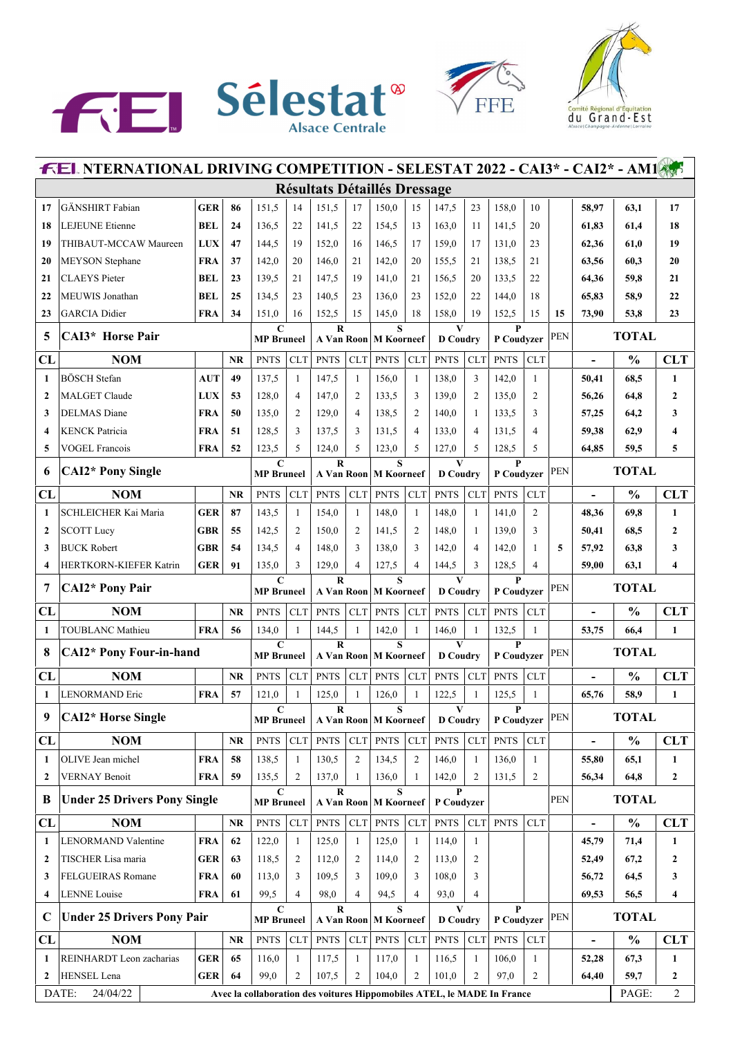





| <b>FEL NTERNATIONAL DRIVING COMPETITION - SELESTAT 2022 - CAI3* - CAI2* - AM1</b> |                                     |            |           |                                  |                          |                                     |                |                              |                |                      |                |                            |                |            |                          |               |                  |
|-----------------------------------------------------------------------------------|-------------------------------------|------------|-----------|----------------------------------|--------------------------|-------------------------------------|----------------|------------------------------|----------------|----------------------|----------------|----------------------------|----------------|------------|--------------------------|---------------|------------------|
|                                                                                   |                                     |            |           |                                  |                          | <b>Résultats Détaillés Dressage</b> |                |                              |                |                      |                |                            |                |            |                          |               |                  |
| 17                                                                                | <b>GÄNSHIRT</b> Fabian              | <b>GER</b> | 86        | 151,5                            | 14                       | 151,5                               | 17             | 150,0                        | 15             | 147,5                | 23             | 158,0                      | 10             |            | 58,97                    | 63,1          | 17               |
| 18                                                                                | <b>LEJEUNE</b> Etienne              | <b>BEL</b> | 24        | 136.5                            | 22                       | 141,5                               | 22             | 154,5                        | 13             | 163,0                | 11             | 141,5                      | 20             |            | 61,83                    | 61,4          | 18               |
| 19                                                                                | THIBAUT-MCCAW Maureen               | <b>LUX</b> | 47        | 144,5                            | 19                       | 152,0                               | 16             | 146,5                        | 17             | 159,0                | 17             | 131,0                      | 23             |            | 62,36                    | 61,0          | 19               |
| 20                                                                                | <b>MEYSON</b> Stephane              | <b>FRA</b> | 37        | 142,0                            | 20                       | 146,0                               | 21             | 142,0                        | 20             | 155,5                | 21             | 138,5                      | 21             |            | 63,56                    | 60,3          | 20               |
| 21                                                                                | <b>CLAEYS</b> Pieter                | <b>BEL</b> | 23        | 139.5                            | 21                       | 147,5                               | 19             | 141,0                        | 21             | 156,5                | 20             | 133,5                      | 22             |            | 64,36                    | 59.8          | 21               |
| 22                                                                                | MEUWIS Jonathan                     | <b>BEL</b> | 25        | 134,5                            | 23                       | 140,5                               | 23             | 136,0                        | 23             | 152,0                | 22             | 144,0                      | 18             |            | 65,83                    | 58,9          | 22               |
| 23                                                                                | <b>GARCIA</b> Didier                | <b>FRA</b> | 34        | 151,0                            | 16                       | 152,5                               | 15             | 145,0                        | 18             | 158,0                | 19             | 152,5                      | 15             | 15         | 73,90                    | 53,8          | 23               |
| 5                                                                                 | CAI3* Horse Pair                    |            |           | $\mathbf C$<br><b>MP</b> Bruneel |                          | $\bf R$                             |                | S<br>A Van Roon   M Koorneef |                | V<br><b>D</b> Coudry |                | P<br>P Coudyzer            |                | PEN        |                          | <b>TOTAL</b>  |                  |
| CL                                                                                | <b>NOM</b>                          |            | <b>NR</b> | <b>PNTS</b>                      | <b>CLT</b>               | <b>PNTS</b>                         | CLT            | <b>PNTS</b>                  | CLT            | <b>PNTS</b>          | <b>CLT</b>     | <b>PNTS</b>                | <b>CLT</b>     |            | $\overline{\phantom{a}}$ | $\frac{0}{0}$ | <b>CLT</b>       |
| $\mathbf{1}$                                                                      | BÖSCH Stefan                        | <b>AUT</b> | 49        | 137,5                            | $\mathbf{1}$             | 147,5                               | $\mathbf{1}$   | 156,0                        | $\mathbf{1}$   | 138,0                | 3              | 142,0                      | $\mathbf{1}$   |            | 50,41                    | 68,5          | 1                |
| $\overline{2}$                                                                    | <b>MALGET Claude</b>                | <b>LUX</b> | 53        | 128,0                            | 4                        | 147,0                               | 2              | 133,5                        | 3              | 139,0                | 2              | 135,0                      | 2              |            | 56,26                    | 64,8          | $\overline{2}$   |
| 3                                                                                 | <b>DELMAS</b> Diane                 | <b>FRA</b> | 50        | 135,0                            | 2                        | 129,0                               | $\overline{4}$ | 138,5                        | 2              | 140,0                | -1             | 133,5                      | 3              |            | 57,25                    | 64,2          | 3                |
| $\overline{\mathbf{4}}$                                                           | <b>KENCK Patricia</b>               | <b>FRA</b> | 51        | 128,5                            | 3                        | 137,5                               | 3              | 131,5                        | 4              | 133,0                | $\overline{4}$ | 131,5                      | $\overline{4}$ |            | 59,38                    | 62,9          | 4                |
| 5                                                                                 | <b>VOGEL Francois</b>               | <b>FRA</b> | 52        | 123,5                            | 5                        | 124,0                               | 5              | 123,0                        | 5              | 127,0                | 5              | 128,5                      | 5              |            | 64,85                    | 59,5          | 5                |
| 6                                                                                 | <b>CAI2*</b> Pony Single            |            |           | $\mathbf C$<br><b>MP</b> Bruneel |                          | $\bf{R}$                            |                | S<br>A Van Roon M Koorneef   |                | V<br><b>D</b> Coudry |                | P<br>P Coudyzer            |                | PEN        |                          | <b>TOTAL</b>  |                  |
| CL                                                                                | <b>NOM</b>                          |            | <b>NR</b> | <b>PNTS</b>                      | <b>CLT</b>               | <b>PNTS</b>                         | CLT            | <b>PNTS</b>                  | <b>CLT</b>     | <b>PNTS</b>          | <b>CLT</b>     | <b>PNTS</b>                | <b>CLT</b>     |            |                          | $\frac{0}{0}$ | <b>CLT</b>       |
| 1                                                                                 | SCHLEICHER Kai Maria                | <b>GER</b> | 87        | 143,5                            | 1                        | 154,0                               | 1              | 148,0                        | $\mathbf{1}$   | 148,0                | 1              | 141,0                      | 2              |            | 48,36                    | 69,8          | $\mathbf{1}$     |
| $\overline{2}$                                                                    | <b>SCOTT Lucy</b>                   | <b>GBR</b> | 55        | 142,5                            | 2                        | 150,0                               | 2              | 141,5                        | 2              | 148,0                | -1             | 139,0                      | 3              |            | 50,41                    | 68,5          | $\mathbf{2}$     |
| 3                                                                                 | <b>BUCK Robert</b>                  | <b>GBR</b> | 54        | 134,5                            | $\overline{\mathcal{L}}$ | 148,0                               | 3              | 138,0                        | 3              | 142,0                | 4              | 142,0                      | -1             | 5          | 57,92                    | 63,8          | 3                |
| 4                                                                                 | HERTKORN-KIEFER Katrin              | <b>GER</b> | 91        | 135,0                            | 3                        | 129,0                               | $\overline{4}$ | 127,5                        | $\overline{4}$ | 144,5                | 3              | 128,5                      | $\overline{4}$ |            | 59,00                    | 63,1          | 4                |
|                                                                                   | <b>CAI2*</b> Pony Pair              |            |           |                                  |                          |                                     |                |                              |                |                      |                | P<br>P Coudyzer            |                | PEN        |                          | <b>TOTAL</b>  |                  |
| 7                                                                                 |                                     |            |           | $\mathbf C$<br><b>MP</b> Bruneel |                          | $\bf{R}$                            |                | S<br>A Van Roon   M Koorneef |                | V<br><b>D</b> Coudry |                |                            |                |            |                          |               |                  |
| CL                                                                                | <b>NOM</b>                          |            | <b>NR</b> | <b>PNTS</b>                      | <b>CLT</b>               | <b>PNTS</b>                         | CLT            | <b>PNTS</b>                  | <b>CLT</b>     | <b>PNTS</b>          | <b>CLT</b>     | <b>PNTS</b>                | <b>CLT</b>     |            | $\overline{a}$           | $\frac{0}{0}$ | <b>CLT</b>       |
| 1                                                                                 | <b>TOUBLANC Mathieu</b>             | <b>FRA</b> | 56        | 134,0                            | $\mathbf{1}$             | 144,5                               | $\mathbf{1}$   | 142,0                        | $\mathbf{1}$   | 146,0                | $\mathbf{1}$   | 132,5                      | $\mathbf{1}$   |            | 53,75                    | 66,4          | $\mathbf{1}$     |
| 8                                                                                 | <b>CAI2*</b> Pony Four-in-hand      |            |           | $\mathbf C$<br><b>MP</b> Bruneel |                          | R                                   |                | S<br>A Van Roon M Koorneef   |                | V<br><b>D</b> Coudry |                | P<br>P Coudyzer            |                | PEN        |                          | <b>TOTAL</b>  |                  |
| CL                                                                                | <b>NOM</b>                          |            | <b>NR</b> | <b>PNTS</b>                      | <b>CLT</b>               | <b>PNTS</b>                         | CLT            | <b>PNTS</b>                  | <b>CLT</b>     | <b>PNTS</b>          | <b>CLT</b>     | <b>PNTS</b>                | <b>CLT</b>     |            | $\blacksquare$           | $\frac{0}{0}$ | <b>CLT</b>       |
| 1                                                                                 | <b>LENORMAND Eric</b>               | <b>FRA</b> | 57        | 121,0                            | 1                        | 125,0                               | 1              | 126,0                        | $\mathbf{1}$   | 122,5                | 1              | 125,5                      | -1             |            | 65,76                    | 58,9          | 1                |
| 9                                                                                 | <b>CAI2*</b> Horse Single           |            |           | C<br><b>MP</b> Bruneel           |                          | R                                   |                | A Van Roon   M Koorneef      |                | V<br><b>D</b> Coudry |                | P Coudyzer                 |                | PEN        |                          | <b>TOTAL</b>  |                  |
| CL                                                                                | <b>NOM</b>                          |            | <b>NR</b> | <b>PNTS</b>                      | <b>CLT</b>               | <b>PNTS</b>                         | CLT            | <b>PNTS</b>                  | CLT            | <b>PNTS</b>          | CLT            | <b>PNTS</b>                | <b>CLT</b>     |            | $\overline{\phantom{a}}$ | $\frac{0}{0}$ | <b>CLT</b>       |
| 1                                                                                 | OLIVE Jean michel                   | <b>FRA</b> | 58        | 138,5                            | -1                       | 130,5                               | 2              | 134,5                        | 2              | 146,0                | 1              | 136,0                      | -1             |            | 55,80                    | 65,1          | $\mathbf{1}$     |
| $\overline{2}$                                                                    | <b>VERNAY Benoit</b>                | <b>FRA</b> | 59        | 135,5                            | 2                        | 137,0                               | 1              | 136,0                        | $\mathbf{1}$   | 142,0                | $\overline{c}$ | 131,5                      | $\overline{2}$ |            | 56,34                    | 64,8          | $\boldsymbol{2}$ |
| B                                                                                 | <b>Under 25 Drivers Pony Single</b> |            |           | C<br><b>MP</b> Bruneel           |                          | $\bf{R}$                            |                | S<br>A Van Roon   M Koorneef |                | P<br>P Coudyzer      |                |                            |                | <b>PEN</b> |                          | <b>TOTAL</b>  |                  |
| CL                                                                                | <b>NOM</b>                          |            | <b>NR</b> | <b>PNTS</b>                      | <b>CLT</b>               | <b>PNTS</b>                         | CLT            | <b>PNTS</b>                  | <b>CLT</b>     | <b>PNTS</b>          | ${\rm CLT}$    | <b>PNTS</b>                | <b>CLT</b>     |            | $\overline{\phantom{a}}$ | $\frac{0}{0}$ | <b>CLT</b>       |
| 1                                                                                 | <b>LENORMAND Valentine</b>          | <b>FRA</b> | 62        | 122,0                            | 1                        | 125,0                               | -1             | 125,0                        | 1              | 114,0                | $\mathbf{1}$   |                            |                |            | 45,79                    | 71,4          | 1                |
| $\overline{2}$                                                                    | TISCHER Lisa maria                  | <b>GER</b> | 63        | 118,5                            | 2                        | 112,0                               | 2              | 114,0                        | 2              | 113,0                | 2              |                            |                |            | 52,49                    | 67,2          | 2                |
| 3                                                                                 | <b>FELGUEIRAS Romane</b>            | <b>FRA</b> | 60        | 113,0                            | 3                        | 109,5                               | 3              | 109,0                        | 3              | 108,0                | 3              |                            |                |            | 56,72                    | 64,5          | 3                |
| 4                                                                                 | <b>LENNE</b> Louise                 | <b>FRA</b> | 61        | 99,5                             | 4                        | 98,0                                | $\overline{4}$ | 94,5                         | 4              | 93,0                 | 4              |                            |                |            | 69,53                    | 56,5          | 4                |
| $\mathbf C$                                                                       | <b>Under 25 Drivers Pony Pair</b>   |            |           | $\mathbf C$<br><b>MP</b> Bruneel |                          | R                                   |                | S<br>A Van Roon   M Koorneef |                | V<br><b>D</b> Coudry |                | $\mathbf{P}$<br>P Coudyzer |                | PEN        |                          | <b>TOTAL</b>  |                  |
| CL                                                                                | <b>NOM</b>                          |            | NR        | <b>PNTS</b>                      | CLT                      | <b>PNTS</b>                         | CLT            | PNTS                         | <b>CLT</b>     | <b>PNTS</b>          | ${\rm CLT}$    | <b>PNTS</b>                | <b>CLT</b>     |            | $\overline{\phantom{a}}$ | $\frac{0}{0}$ | <b>CLT</b>       |
| 1                                                                                 | REINHARDT Leon zacharias            | <b>GER</b> | 65        | 116,0                            | $\mathbf{1}$             | 117,5                               | $\mathbf{1}$   | 117,0                        | $\mathbf{1}$   | 116,5                | $\mathbf{1}$   | 106,0                      | -1             |            | 52,28                    | 67,3          | $\mathbf{1}$     |
| $\mathbf{2}$                                                                      | HENSEL Lena                         | <b>GER</b> | 64        | 99,0                             | $\overline{2}$           | 107,5                               | 2              | 104,0                        | 2              | 101,0                | 2              | 97,0                       | $\overline{2}$ |            | 64,40                    | 59,7          | $\boldsymbol{2}$ |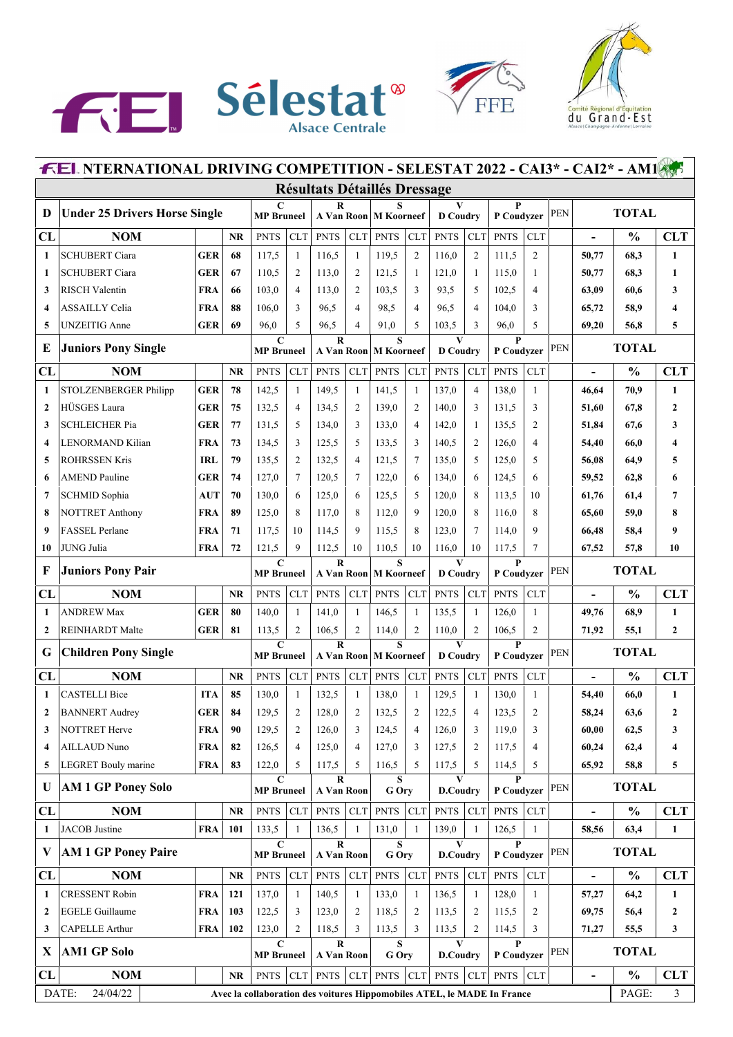





| <b>FEL NTERNATIONAL DRIVING COMPETITION - SELESTAT 2022 - CAI3* - CAI2* - AM1</b> |                                      |            |           |                                                                         |                |                                       |                |                                                    |                |                                 |                |                            |                |            |                          |               |                |
|-----------------------------------------------------------------------------------|--------------------------------------|------------|-----------|-------------------------------------------------------------------------|----------------|---------------------------------------|----------------|----------------------------------------------------|----------------|---------------------------------|----------------|----------------------------|----------------|------------|--------------------------|---------------|----------------|
|                                                                                   | <b>Résultats Détaillés Dressage</b>  |            |           |                                                                         |                |                                       |                |                                                    |                |                                 |                |                            |                |            |                          |               |                |
| D                                                                                 | <b>Under 25 Drivers Horse Single</b> |            |           | $\mathbf C$<br><b>MP</b> Bruneel                                        |                | R                                     |                | s<br>A Van Roon M Koorneef                         |                | $\mathbf{V}$<br><b>D</b> Coudry |                | $\mathbf{P}$<br>P Coudvzer |                | <b>PEN</b> | <b>TOTAL</b>             |               |                |
| CL                                                                                | <b>NOM</b>                           |            | <b>NR</b> | <b>PNTS</b>                                                             | <b>CLT</b>     | <b>PNTS</b>                           | <b>CLT</b>     | <b>PNTS</b>                                        | <b>CLT</b>     | <b>PNTS</b>                     | <b>CLT</b>     | <b>PNTS</b>                | <b>CLT</b>     |            | $\blacksquare$           | $\frac{0}{0}$ | <b>CLT</b>     |
| $\mathbf{1}$                                                                      | <b>SCHUBERT Ciara</b>                | <b>GER</b> | 68        | 117,5                                                                   | $\mathbf{1}$   | 116,5                                 | $\mathbf{1}$   | 119,5                                              | $\overline{c}$ | 116,0                           | $\overline{c}$ | 111,5                      | $\overline{2}$ |            | 50,77                    | 68,3          | $\mathbf{1}$   |
| 1                                                                                 | <b>SCHUBERT Ciara</b>                | <b>GER</b> | 67        | 110,5                                                                   | $\overline{2}$ | 113,0                                 | $\overline{2}$ | 121,5                                              | $\mathbf{1}$   | 121,0                           | 1              | 115,0                      | 1              |            | 50,77                    | 68,3          | 1              |
| 3                                                                                 | <b>RISCH Valentin</b>                | <b>FRA</b> | 66        | 103,0                                                                   | $\overline{4}$ | 113,0                                 | $\overline{2}$ | 103,5                                              | 3              | 93,5                            | 5              | 102,5                      | 4              |            | 63,09                    | 60,6          | 3              |
| 4                                                                                 | <b>ASSAILLY Celia</b>                | <b>FRA</b> | 88        | 106,0                                                                   | 3              | 96,5                                  | $\overline{4}$ | 98,5                                               | $\overline{4}$ | 96.5                            | 4              | 104,0                      | 3              |            | 65,72                    | 58,9          | 4              |
| 5                                                                                 | <b>UNZEITIG</b> Anne                 | <b>GER</b> | 69        | 96,0                                                                    | 5              | 96,5                                  | $\overline{4}$ | 91,0                                               | 5              | 103,5                           | 3              | 96,0                       | 5              |            | 69,20                    | 56,8          | 5              |
| Е                                                                                 | <b>Juniors Pony Single</b>           |            |           | C<br><b>MP</b> Bruneel                                                  |                | $\bf{R}$<br>A Van Roon                |                | S<br><b>M</b> Koorneef                             |                | V<br><b>D</b> Coudry            |                | $\mathbf{P}$<br>P Coudyzer |                | PEN        |                          | <b>TOTAL</b>  |                |
| CL                                                                                | <b>NOM</b>                           |            | <b>NR</b> | <b>PNTS</b>                                                             | <b>CLT</b>     | <b>PNTS</b>                           | <b>CLT</b>     | <b>PNTS</b>                                        | <b>CLT</b>     | <b>PNTS</b>                     | <b>CLT</b>     | <b>PNTS</b>                | <b>CLT</b>     |            |                          | $\frac{0}{0}$ | <b>CLT</b>     |
| 1                                                                                 | STOLZENBERGER Philipp                | <b>GER</b> | 78        | 142,5                                                                   | $\mathbf{1}$   | 149,5                                 | $\mathbf{1}$   | 141,5                                              | $\mathbf{1}$   | 137,0                           | $\overline{4}$ | 138,0                      | $\mathbf{1}$   |            | 46,64                    | 70,9          | 1              |
| 2                                                                                 | HÜSGES Laura                         | <b>GER</b> | 75        | 132,5                                                                   | $\overline{4}$ | 134,5                                 | $\overline{2}$ | 139,0                                              | $\overline{c}$ | 140,0                           | 3              | 131,5                      | 3              |            | 51,60                    | 67,8          | 2              |
| 3                                                                                 | <b>SCHLEICHER Pia</b>                | <b>GER</b> | 77        | 131,5                                                                   | 5              | 134,0                                 | 3              | 133,0                                              | $\overline{4}$ | 142,0                           | 1              | 135,5                      | $\overline{c}$ |            | 51,84                    | 67,6          | 3              |
| 4                                                                                 | LENORMAND Kilian                     | <b>FRA</b> | 73        | 134,5                                                                   | 3              | 125,5                                 | 5              | 133,5                                              | 3              | 140,5                           | $\overline{2}$ | 126,0                      | 4              |            | 54,40                    | 66,0          | 4              |
| 5                                                                                 | <b>ROHRSSEN Kris</b>                 | <b>IRL</b> | 79        | 135,5                                                                   | $\overline{2}$ | 132,5                                 | $\overline{4}$ | 121,5                                              | $\tau$         | 135,0                           | 5              | 125,0                      | 5              |            | 56,08                    | 64,9          | 5              |
| 6                                                                                 | <b>AMEND Pauline</b>                 | <b>GER</b> | 74        | 127,0                                                                   | $\overline{7}$ | 120,5                                 | $\tau$         | 122,0                                              | 6              | 134,0                           | 6              | 124,5                      | 6              |            | 59,52                    | 62,8          | 6              |
| 7                                                                                 | <b>SCHMID Sophia</b>                 | <b>AUT</b> | 70        | 130,0                                                                   | 6              | 125,0                                 | 6              | 125,5                                              | 5              | 120,0                           | 8              | 113,5                      | 10             |            | 61,76                    | 61,4          | 7              |
| 8                                                                                 | <b>NOTTRET Anthony</b>               | <b>FRA</b> | 89        | 125,0                                                                   | 8              | 117,0                                 | 8              | 112,0                                              | 9              | 120,0                           | 8              | 116,0                      | 8              |            | 65,60                    | 59,0          | 8              |
| 9                                                                                 | <b>FASSEL</b> Perlane                | <b>FRA</b> | 71        | 117,5                                                                   | 10             | 114,5                                 | 9              | 115,5                                              | 8              | 123,0                           | $\tau$         | 114.0                      | 9              |            | 66,48                    | 58,4          | 9              |
| 10                                                                                | JUNG Julia                           | <b>FRA</b> | 72        | 121,5                                                                   | 9              | 112,5                                 | 10             | 110,5                                              | 10             | 116,0                           | 10             | 117,5                      | $\overline{7}$ |            | 67,52                    | 57,8          | 10             |
| F                                                                                 | <b>Juniors Pony Pair</b>             |            |           | $\mathbf C$<br><b>MP</b> Bruneel                                        |                | $\overline{\mathbf{R}}$<br>A Van Roon |                | $\mathbf{s}$<br><b>M</b> Koorneef                  |                | V<br><b>D</b> Coudry            |                | $\mathbf{P}$<br>P Coudyzer |                | PEN        |                          | <b>TOTAL</b>  |                |
| CL                                                                                | <b>NOM</b>                           |            | <b>NR</b> | <b>PNTS</b>                                                             | <b>CLT</b>     | <b>PNTS</b>                           | <b>CLT</b>     | <b>PNTS</b>                                        | <b>CLT</b>     | <b>PNTS</b>                     | <b>CLT</b>     | <b>PNTS</b>                | <b>CLT</b>     |            | $\overline{a}$           | $\frac{0}{0}$ | <b>CLT</b>     |
| 1                                                                                 | <b>ANDREW Max</b>                    | <b>GER</b> | 80        | 140,0                                                                   | $\mathbf{1}$   | 141,0                                 | 1              | 146,5                                              | $\mathbf{1}$   | 135,5                           | 1              | 126,0                      | $\mathbf{1}$   |            | 49,76                    | 68,9          | $\mathbf{1}$   |
| $\mathbf{2}$                                                                      | <b>REINHARDT</b> Malte               | <b>GER</b> | 81        | 113,5                                                                   | $\overline{2}$ | 106,5                                 | $\overline{2}$ | 114,0                                              | $\overline{c}$ | 110,0                           | $\overline{c}$ | 106,5                      | $\overline{2}$ |            | 71,92                    | 55,1          | $\overline{2}$ |
| G                                                                                 | <b>Children Pony Single</b>          |            |           | $\mathbf C$<br><b>MP</b> Bruneel                                        |                | $\bf{R}$                              |                | $\overline{\mathbf{s}}$<br>A Van Roon   M Koorneef |                | V<br><b>D</b> Coudry            |                | $\mathbf{P}$<br>P Coudvzer |                | PEN        |                          | <b>TOTAL</b>  |                |
| CL                                                                                | <b>NOM</b>                           |            | <b>NR</b> | <b>PNTS</b>                                                             | <b>CLT</b>     | <b>PNTS</b>                           | CLT            | <b>PNTS</b>                                        | <b>CLT</b>     | <b>PNTS</b>                     | <b>CLT</b>     | <b>PNTS</b>                | <b>CLT</b>     |            | $\blacksquare$           | $\frac{0}{0}$ | <b>CLT</b>     |
| $\mathbf{1}$                                                                      | <b>CASTELLI Bice</b>                 | <b>ITA</b> | 85        | 130,0                                                                   | $\mathbf{1}$   | 132,5                                 | $\mathbf{1}$   | 138,0                                              | $\mathbf{1}$   | 129,5                           | $\mathbf{1}$   | 130.0                      | $\mathbf{1}$   |            | 54,40                    | 66,0          | $\mathbf{1}$   |
|                                                                                   | <b>BANNERT</b> Audrey                | <b>GER</b> | 84        | 129,5                                                                   | 2              | 128,0                                 | 2              | 132,5                                              | 2              | 122,5                           | 4              | 123,5                      | 2              |            | 58,24                    | 63,6          | 2              |
| 3                                                                                 | <b>NOTTRET Herve</b>                 | FRA        | 90        | 129,5                                                                   | $\overline{2}$ | 126,0                                 | 3              | 124,5                                              | $\overline{4}$ | 126,0                           | 3              | 119,0                      | 3              |            | 60,00                    | 62,5          | 3              |
| 4                                                                                 | <b>AILLAUD Nuno</b>                  | <b>FRA</b> | 82        | 126,5                                                                   | $\overline{4}$ | 125,0                                 | $\overline{4}$ | 127,0                                              | 3              | 127,5                           | 2              | 117,5                      | 4              |            | 60,24                    | 62,4          | 4              |
| 5                                                                                 | LEGRET Bouly marine                  | <b>FRA</b> | 83        | 122,0                                                                   | 5              | 117,5                                 | 5              | 116,5                                              | 5              | 117,5                           | 5              | 114,5                      | 5              |            | 65,92                    | 58,8          | 5              |
| U                                                                                 | <b>AM 1 GP Poney Solo</b>            |            |           | C<br><b>MP</b> Bruneel                                                  |                | $\bf R$<br>A Van Roon                 |                | S<br>G Ory                                         |                | V<br>D.Coudry                   |                | P<br>P Coudvzer            |                | <b>PEN</b> |                          | <b>TOTAL</b>  |                |
| CL                                                                                | <b>NOM</b>                           |            | <b>NR</b> | <b>PNTS</b>                                                             | CLT            | <b>PNTS</b>                           | CLT            | <b>PNTS</b>                                        | <b>CLT</b>     | <b>PNTS</b>                     | <b>CLT</b>     | <b>PNTS</b>                | <b>CLT</b>     |            | $\overline{a}$           | $\frac{0}{0}$ | <b>CLT</b>     |
| 1                                                                                 | JACOB Justine                        | <b>FRA</b> | 101       | 133,5                                                                   | 1              | 136,5                                 | $\mathbf{1}$   | 131,0                                              | $\mathbf{1}$   | 139,0                           | $\mathbf{1}$   | 126,5                      | $\mathbf{1}$   |            | 58,56                    | 63,4          | $\mathbf{1}$   |
| V                                                                                 | <b>AM 1 GP Poney Paire</b>           |            |           | C<br><b>MP</b> Bruneel                                                  |                | $\bf R$<br>A Van Roon                 |                | S<br>G Ory                                         |                | V<br><b>D.Coudry</b>            |                | $\mathbf{P}$<br>P Coudyzer |                | PEN        |                          | <b>TOTAL</b>  |                |
| CL                                                                                | <b>NOM</b>                           |            | <b>NR</b> | <b>PNTS</b>                                                             | CLT            | <b>PNTS</b>                           | CLT            | <b>PNTS</b>                                        | <b>CLT</b>     | <b>PNTS</b>                     | ${\rm CLT}$    | <b>PNTS</b>                | <b>CLT</b>     |            | $\overline{\phantom{a}}$ | $\frac{0}{0}$ | <b>CLT</b>     |
| $\mathbf{1}$                                                                      | <b>CRESSENT Robin</b>                | <b>FRA</b> | 121       | 137,0                                                                   | 1              | 140,5                                 | 1              | 133,0                                              | $\mathbf{1}$   | 136,5                           | $\mathbf{1}$   | 128,0                      | $\mathbf{1}$   |            | 57,27                    | 64,2          | $\mathbf{1}$   |
| 2                                                                                 | <b>EGELE Guillaume</b>               | <b>FRA</b> | 103       | 122,5                                                                   | 3              | 123,0                                 | 2              | 118,5                                              | $\overline{2}$ | 113,5                           | 2              | 115,5                      | 2              |            | 69,75                    | 56,4          | 2              |
| 3                                                                                 | <b>CAPELLE Arthur</b>                | <b>FRA</b> | 102       | 123,0                                                                   | $\overline{c}$ | 118,5                                 | 3              | 113,5                                              | 3              | 113,5                           | 2              | 114,5                      | 3              |            | 71,27                    | 55,5          | 3              |
| X                                                                                 | <b>AM1 GP Solo</b>                   |            |           | $\mathbf C$<br><b>MP</b> Bruneel                                        |                | $\bf R$<br>A Van Roon                 |                | S<br>G Ory                                         |                | V<br>D.Coudry                   |                | P<br>P Coudyzer            |                | <b>PEN</b> |                          | <b>TOTAL</b>  |                |
| CL                                                                                | <b>NOM</b>                           |            | <b>NR</b> | <b>PNTS</b>                                                             | CLT            | <b>PNTS</b>                           | CLT            | <b>PNTS</b>                                        | <b>CLT</b>     | <b>PNTS</b>                     | CLT            | <b>PNTS</b>                | <b>CLT</b>     |            | $\overline{\phantom{a}}$ | $\frac{0}{0}$ | <b>CLT</b>     |
|                                                                                   | DATE:<br>24/04/22                    |            |           | Avec la collaboration des voitures Hippomobiles ATEL, le MADE In France |                |                                       |                |                                                    |                |                                 |                |                            |                |            |                          | PAGE:         | $\mathfrak{Z}$ |